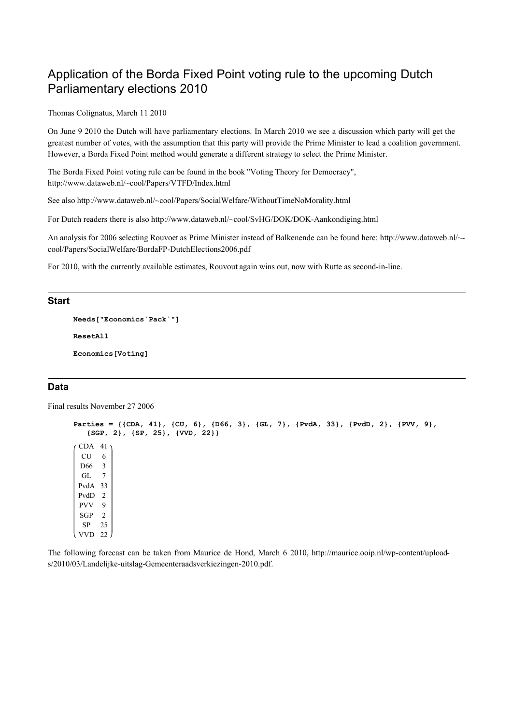# Application of the Borda Fixed Point voting rule to the upcoming Dutch Parliamentary elections 2010

Thomas Colignatus, March 11 2010

On June 9 2010 the Dutch will have parliamentary elections. In March 2010 we see a discussion which party will get the greatest number of votes, with the assumption that this party will provide the Prime Minister to lead a coalition government. However, a Borda Fixed Point method would generate a different strategy to select the Prime Minister.

The Borda Fixed Point voting rule can be found in the book "Voting Theory for Democracy", http://www.dataweb.nl/~cool/Papers/VTFD/Index.html

See also http://www.dataweb.nl/~cool/Papers/SocialWelfare/WithoutTimeNoMorality.html

For Dutch readers there is also http://www.dataweb.nl/~cool/SvHG/DOK/DOK-Aankondiging.html

An analysis for 2006 selecting Rouvoet as Prime Minister instead of Balkenende can be found here: http://www.dataweb.nl/~ cool/Papers/SocialWelfare/BordaFP-DutchElections2006.pdf

For 2010, with the currently available estimates, Rouvout again wins out, now with Rutte as second-in-line.

#### **Start**

```
Needs["Economics`Pack`"]
ResetAll
Economics[Voting]
```
### Data

Final results November 27 2006

```
Parties = \{ (CDA, 41), (CU, 6), (D66, 3), (GL, 7), (PvdA, 33), (PvdD, 2), (PVV, 9), {SGP, 2}, {SP, 25}, {VVD, 22}}
 CDA 41
 CU 6
 D66 3
 GL 7
 PvdA 33
 PvdD 2
 PVV 9
 SGP 2
 SP 25
 VVD 22
```
The following forecast can be taken from Maurice de Hond, March 6 2010, http://maurice.ooip.nl/wp-content/uploads/2010/03/Landelijke-uitslag-Gemeenteraadsverkiezingen-2010.pdf.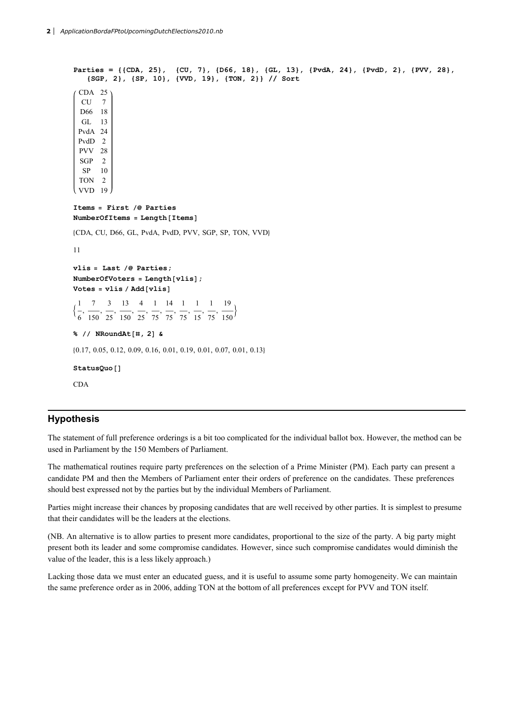```
Parties = \{ (CDA, 25), (CU, 7), (D66, 18), (GL, 13), (PvdA, 24), (PvdD, 2), (PVV, 28), {SGP, 2}, {SP, 10}, {VVD, 19}, {TON, 2}} // Sort
 CDA 25
  CU<sub>7</sub>
 D66 18
  GL 13
 PvdA 24
 PvdD 2
 PVV 28
 SGP 2
  SP 10
 TON 2
 VVD 19
Items = First /e Parties
NumberOfItems = Length[Items]8CDA, CU, D66, GL, PvdA, PvdD, PVV, SGP, SP, TON, VVD<
11
vlis = Last /e Parties;
NumberOfVoters = Length [vlis];
Votes = vlis / Add[vlis]:
 1
 6
   ,
     7
    150
       ,
         3
         25
           ,
             13
             150
                ,
                  4
                  25
                    ,
                      1
                      75
                        ,
                         14
                         75
                            ,
                              1
                             75
                                ,
                                  1
                                 15
                                   ,
                                      1
                                     75
                                       ,
                                         19
                                         \overline{150}% // NRoundAt[#, 2] &
80.17, 0.05, 0.12, 0.09, 0.16, 0.01, 0.19, 0.01, 0.07, 0.01, 0.13<
StatusQuo []
CDA
```
## **Hypothesis**

The statement of full preference orderings is a bit too complicated for the individual ballot box. However, the method can be used in Parliament by the 150 Members of Parliament.

The mathematical routines require party preferences on the selection of a Prime Minister (PM). Each party can present a candidate PM and then the Members of Parliament enter their orders of preference on the candidates. These preferences should best expressed not by the parties but by the individual Members of Parliament.

Parties might increase their chances by proposing candidates that are well received by other parties. It is simplest to presume that their candidates will be the leaders at the elections.

(NB. An alternative is to allow parties to present more candidates, proportional to the size of the party. A big party might present both its leader and some compromise candidates. However, since such compromise candidates would diminish the value of the leader, this is a less likely approach.)

Lacking those data we must enter an educated guess, and it is useful to assume some party homogeneity. We can maintain the same preference order as in 2006, adding TON at the bottom of all preferences except for PVV and TON itself.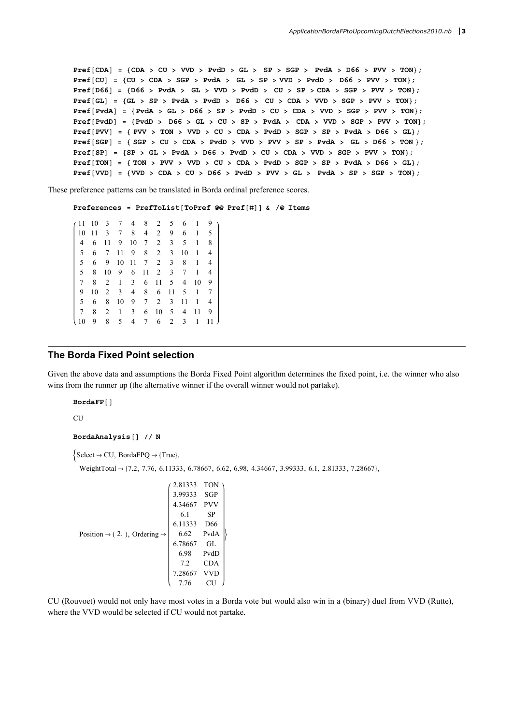$Pref[CDA] = \{CDA > CU > VVD > PvdD > GL > SP > SGP > PvdA > D66 > PVV > TON\};$  $Pref[CU] = \{CU > CDA > SGP > PvdA > GL > SP > VVD > PvdD > D66 > PVV > TON\};$  $Pref[D66] = \{D66 > PvdA > GL > VVD > PvdD > CU > SP > CDA > SGP > PVV > TON\};$  $Pref[GL] = \{ GL \gt SP \gt PvdA \gt PvdD \gt D66 \gt CU \gt CDA \gt VVD \gt SGP \gt PVV \gt TON\};$  $Pref[Pvda] = {Pvda > GL > D66 > SP > Pvdb > CU > CDA > VVD > SGP > PVV > TON};$  $Pref[PvdD] = {PvdD > D66 > GL > CU > SP > PvdA > CDA > VVD > SGP > PVV > TON};$  $Pref[PVV] = { PVV > TON > VVD > CU > CDA > PvdD > SGP > SP > PvdA > DG6 > GL};$  $Pref[SGP] = {SGP > CU > CDA > PvdD > VVD > PVV > SP > PvdA > GL > D66 > TON };$  $Pref[SP] = {SP > GL > PvdA > D66 > PvdD > CU > CDA > VVD > SGP > PVV > TON}$ ;  $Pref[TON] = \{TON > PVV > VVD > CU > CDA > PvdD > SGP > SP > PvdA > D66 > GL\};$  $Pref[VVD] = \{VVD > CDA > CU > D66 > PvdD > PVV > GL > PvdA > SY \leq SP > sGP > TON\};$ 

These preference patterns can be translated in Borda ordinal preference scores.

Preferences = PrefToList [ToPref @@ Pref [#] ]  $\epsilon$  /@ Items

11 10 3 7 4 8 2 5 6 1 9 10 11 3 7 8 4 2 9 6 1 5 4 6 11 9 10 7 2 3 5 1 8 5 6 7 11 9 8 2 3 10 1 4 5 6 9 10 11 7 2 3 8 1 4 5 8 10 9 6 11 2 3 7 1 4 7 8 2 1 3 6 11 5 4 10 9 9 10 2 3 4 8 6 11 5 1 7 5 6 8 10 9 7 2 3 11 1 4 7 8 2 1 3 6 10 5 4 11 9 10 9 8 5 4 7 6 2 3 1 11

#### The Borda Fixed Point selection

Given the above data and assumptions the Borda Fixed Point algorithm determines the fixed point, i.e. the winner who also wins from the runner up (the alternative winner if the overall winner would not partake).

BordaFP[]

CU

BordaAnalysis[] // N

 $\{Select \rightarrow CU, BordaFPQ \rightarrow \{True\},\}$ 

WeightTotal  $\rightarrow$  {7.2, 7.76, 6.11333, 6.78667, 6.62, 6.98, 4.34667, 3.99333, 6.1, 2.81333, 7.28667},

```
Position \rightarrow (2.), Ordering \rightarrow2.81333 TON
                           3.99333 SGP
                           4.34667 PVV
                             6.1 SP
                           6.11333 D66
                             6.62 PvdA
                           6.78667 GL
                             6.98 PvdD
                             7.2 CDA
                           7.28667 VVD
                            7.76 CU
                                           \left\{ \right.
```
CU (Rouvoet) would not only have most votes in a Borda vote but would also win in a (binary) duel from VVD (Rutte), where the VVD would be selected if CU would not partake.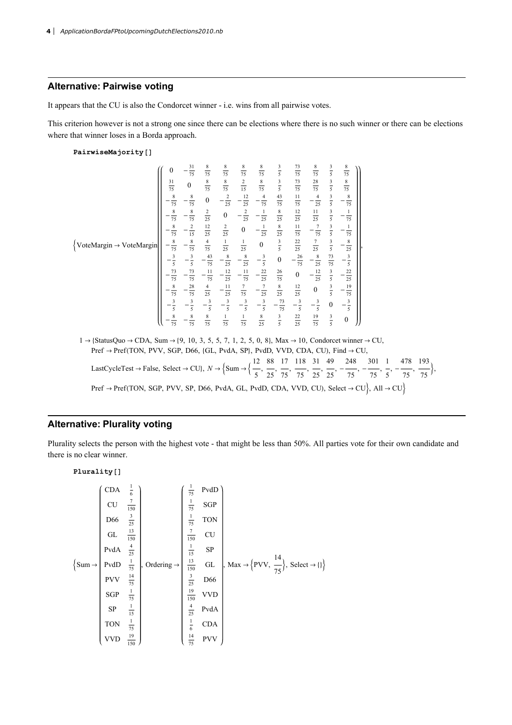## Alternative: Pairwise voting

It appears that the CU is also the Condorcet winner - i.e. wins from all pairwise votes.

This criterion however is not a strong one since there can be elections where there is no such winner or there can be elections where that winner loses in a Borda approach.

PairwiseMajority []

$$
\begin{bmatrix}\n0 & -\frac{31}{75} & \frac{8}{75} & \frac{8}{75} & \frac{8}{75} & \frac{8}{75} & \frac{8}{75} & \frac{3}{75} & \frac{3}{75} & \frac{3}{75} & \frac{8}{75} & \frac{3}{5} & \frac{8}{75} \\
\frac{31}{75} & 0 & \frac{8}{75} & \frac{8}{75} & \frac{2}{15} & \frac{8}{75} & \frac{3}{5} & \frac{73}{75} & \frac{28}{75} & \frac{3}{5} & \frac{8}{75} \\
-\frac{8}{75} & -\frac{8}{75} & 0 & -\frac{2}{25} & -\frac{12}{25} & -\frac{4}{75} & \frac{43}{75} & \frac{11}{15} & -\frac{4}{75} & \frac{3}{5} & -\frac{8}{75} \\
-\frac{8}{75} & -\frac{8}{75} & \frac{2}{25} & 0 & -\frac{2}{25} & -\frac{1}{25} & \frac{8}{25} & \frac{12}{25} & \frac{11}{25} & \frac{3}{5} & -\frac{1}{75} \\
-\frac{8}{75} & -\frac{8}{75} & \frac{4}{75} & \frac{1}{25} & \frac{1}{25} & 0 & \frac{3}{5} & \frac{22}{25} & \frac{7}{25} & \frac{3}{5} & -\frac{8}{75} \\
-\frac{3}{5} & -\frac{3}{5} & -\frac{43}{75} & -\frac{8}{25} & -\frac{8}{5} & -\frac{8}{5} & 0 & -\frac{26}{75} & -\frac{8}{25} & \frac{73}{75} & -\frac{3}{5} \\
-\frac{3}{75} & -\frac{73}{75} & -\frac{11}{75} & -\frac{12}{25} & -\frac{11}{75} & -\frac{22}{25} & \frac{26}{25} & 0 & -\frac{12}{25} & \frac{3}{5} & -\frac{22}{25} \\
-\frac{8}{75} & -\frac{8}{75} & \frac{8}{25} & -\frac{11}{25} & \frac{12}{75}
$$

 $Pref \rightarrow Pref(TON, SGP, PVV, SP, D66, PvdA, GL, PvdD, CDA, VVD, CU), Select \rightarrow CU$ , All  $\rightarrow CU$ 

,  $\frac{1}{75}$ 

## Alternative: Plurality voting

Plurality selects the person with the highest vote - that might be less than 50%. All parties vote for their own candidate and there is no clear winner.

| Plurality [1] |                  |                  |      |                 |                |      |
|---------------|------------------|------------------|------|-----------------|----------------|------|
| CU            | $\frac{7}{150}$  | $\frac{1}{75}$   | 9VdD |                 |                |      |
| DUA           | $\frac{4}{25}$   | $\frac{1}{75}$   | 50P  |                 |                |      |
| QIL           | $\frac{13}{150}$ | $\frac{7}{75}$   | 70N  |                 |                |      |
| QH            | $\frac{4}{25}$   | $\frac{1}{150}$  | 50V  |                 |                |      |
| QH            | $\frac{4}{75}$   | $\frac{1}{150}$  | 50V  |                 |                |      |
| QH            | $\frac{1}{75}$   | $\frac{13}{150}$ | 60V  | $\frac{14}{75}$ | $\frac{3}{25}$ | 1066 |
| SGP           | $\frac{1}{75}$   | $\frac{19}{150}$ | 10VD |                 |                |      |
| SP            | $\frac{1}{15}$   | $\frac{4}{25}$   | 104A |                 |                |      |
| TON           | $\frac{1}{75}$   | $\frac{1}{6}$    | CDA  |                 |                |      |
| VVD           | $\frac{19}{150}$ | $\frac{14}{15}$  | PVV  |                 |                |      |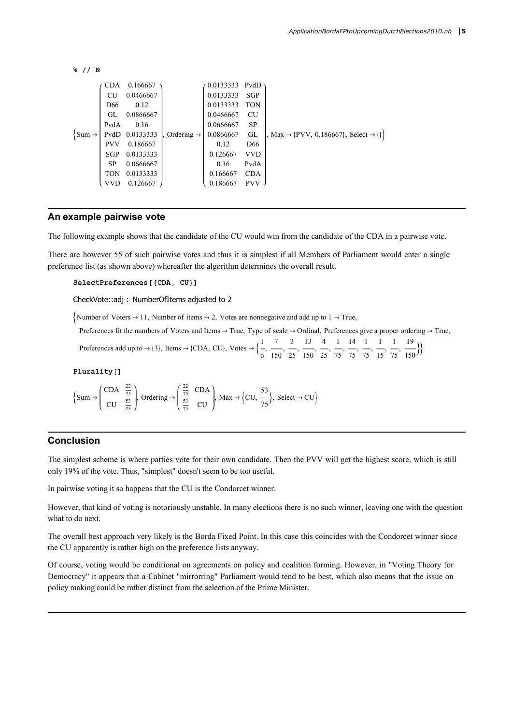```
% // N
```

```
\{Sum \rightarrowCDA 0.166667
         CU 0.0466667
         D66 0.12
         GL 0.0866667
        PvdA 0.16
        PvdD 0.0133333
         PVV 0.186667
         SGP 0.0133333
               0.0666667
         TON 0.0133333
         VVD 0.126667
                            Ordering \rightarrow0.0133333 PvdD
                                        0.0133333 SGP
                                        0.0133333 TON
                                        0.0466667 CU
                                        0.0666667 SP
                                        0.0866667 GL
                                           0.12 D66
                                         0.126667 VVD
                                           0.16 PvdA
                                         0.166667 CDA
                                         0.186667 PVV
                                                           \text{Max} \rightarrow \{\text{PVV}, \ 0.186667\}, \ \text{Select} \rightarrow \{\}
```
#### An example pairwise vote

The following example shows that the candidate of the CU would win from the candidate of the CDA in a pairwise vote.

There are however 55 of such pairwise votes and thus it is simplest if all Members of Parliament would enter a single preference list (as shown above) whereafter the algorithm determines the overall result.

SelectPreferences [{CDA, CU}]

CheckVote::adj : NumberOfItems adjusted to 2

Number of Voters  $\rightarrow$  11, Number of items  $\rightarrow$  2, Votes are nonnegative and add up to 1  $\rightarrow$  True,

Preferences fit the numbers of Voters and Items  $\rightarrow$  True, Type of scale  $\rightarrow$  Ordinal, Preferences give a proper ordering  $\rightarrow$  True, Preferences add up to  $\rightarrow$  {3}, Items  $\rightarrow$  {CDA, CU}, Votes  $\rightarrow \begin{cases} 1 \end{cases}$ 6 , 7 , 3 , 13 , 4 , 1 , 14 , 1 , 1 , 1 , 19  $\frac{150}{\sqrt{150}}$ 

150

25

150

25

75

75

75

15

75

Plurality[]

$$
\left\{\text{Sum} \rightarrow \left(\begin{array}{cc} \text{CDA} & \frac{22}{75} \\ \text{CU} & \frac{53}{75} \end{array}\right), \text{Ordering} \rightarrow \left(\begin{array}{cc} \frac{22}{75} & \text{CDA} \\ \frac{53}{75} & \text{CU} \end{array}\right), \text{Max} \rightarrow \left\{\text{CU}, \frac{53}{75} \right\}, \text{ Select} \rightarrow \text{CU} \right\}
$$

## Conclusion

The simplest scheme is where parties vote for their own candidate. Then the PVV will get the highest score, which is still only 19% of the vote. Thus, "simplest" doesn't seem to be too useful.

In pairwise voting it so happens that the CU is the Condorcet winner.

However, that kind of voting is notoriously unstable. In many elections there is no such winner, leaving one with the question what to do next.

The overall best approach very likely is the Borda Fixed Point. In this case this coincides with the Condorcet winner since the CU apparently is rather high on the preference lists anyway.

Of course, voting would be conditional on agreements on policy and coalition forming. However, in "Voting Theory for Democracy" it appears that a Cabinet "mirrorring" Parliament would tend to be best, which also means that the issue on policy making could be rather distinct from the selection of the Prime Minister.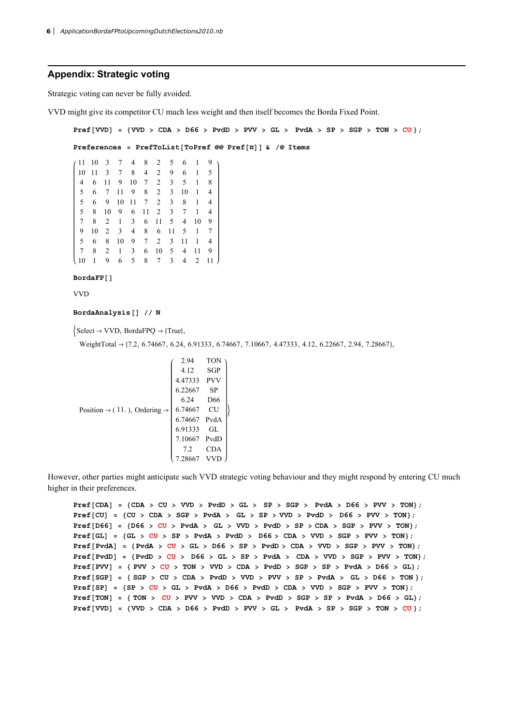#### Appendix: Strategic voting

Strategic voting can never be fully avoided.

VVD might give its competitor CU much less weight and then itself becomes the Borda Fixed Point.

```
Pref[VVD] = \{VVD > CDA > D66 > PvdD > PVV > GL > PvdA > PvdA > SP > SGP > TON > CU\};Preferences = PrefToList[ToPref @@ Pref[#]] \& /@ Items
11 10 3 7 4 8 2 5 6 1 9
10 11 3 7 8 4 2 9 6 1 5
 4 6 11 9 10 7 2 3 5 1 8
 5 6 7 11 9 8 2 3 10 1 4
 5 6 9 10 11 7 2 3 8 1 4
 5 8 10 9 6 11 2 3 7 1 4
 7 8 2 1 3 6 11 5 4 10 9
 9 10 2 3 4 8 6 11 5 1 7
 5 6 8 10 9 7 2 3 11 1 4
 7 8 2 1 3 6 10 5 4 11 9
10 1 9 6 5 8 7 3 4 2 11
BordaFP[]
VVD
```
BordaAnalysis[] // N

 $\{\text{Select} \rightarrow \text{VVD}, \text{BordaFPQ} \rightarrow \{\text{True}\},\$ 

WeightTotal  $\rightarrow$  {7.2, 6.74667, 6.24, 6.91333, 6.74667, 7.10667, 4.47333, 4.12, 6.22667, 2.94, 7.28667},

|                                                      | 2.94    | <b>TON</b>      |  |
|------------------------------------------------------|---------|-----------------|--|
|                                                      | 4.12    | SGP             |  |
|                                                      | 4.47333 | <b>PVV</b>      |  |
|                                                      | 6.22667 | SP              |  |
|                                                      | 6.24    | D <sub>66</sub> |  |
| Position $\rightarrow$ (11.), Ordering $\rightarrow$ | 6.74667 | CU              |  |
|                                                      | 6.74667 | PvdA            |  |
|                                                      | 6.91333 | GL              |  |
|                                                      | 7.10667 | PvdD            |  |
|                                                      | 7.2     | <b>CDA</b>      |  |
|                                                      |         |                 |  |

However, other parties might anticipate such VVD strategic voting behaviour and they might respond by entering CU much higher in their preferences.

 $Pref[CDA] = \{CDA > CU > VVD > PvdD > GL > SP > SGP > PvdA > D66 > PVV > TON\};$  $Pref[CU] = \{CU > CDA > SGP > PvdA > GL > SP > VVD > PvdD > D66 > PVV > TON\};$  $Pref[D66] = \{D66 > CU > PvdA > GL > VVD > PvdD > SP > CDA > SGP > PVV > PON\};$  $Pref[GL] = {GL > CU > SP > PvdA > PvdD > D66 > CDA > VVD > SGP > PVV > TON}$ ;  $Pref[Pvdd] = {Pvdd > CU > GL > DG > SP > Pvdb > CDA > VVD > SGP > PVV > TON}$ ;  $\texttt{Pref}[\texttt{PvdD}] = \{\texttt{PvdD} > \texttt{CU} > \texttt{D66} > \texttt{GL} > \texttt{SP} > \texttt{PvdA} > \texttt{CDA} > \texttt{VVD} > \texttt{SGP} > \texttt{PVV} > \texttt{TON} \};$  $Pref[PVV] = { PVV > CU > TON > VVD > CDA > PvdD > SGP > SP > PvdA > D66 > GL};$  $Pref[SGP] = {SGP > CU > CDA > PvdD > VVD > PVV > SP > PvdA > GL > D66 > TON };$  $\texttt{Pref}\left[\texttt{SP}\right] \texttt{ = }\left\{\texttt{SP} \texttt{ > } \texttt{CU} \texttt{ > GL} \texttt{ > } \texttt{PvdA} \texttt{ > } \texttt{D66} \texttt{ > } \texttt{PvdB} \texttt{ > } \texttt{CDA} \texttt{ > } \texttt{VVD} \texttt{ > } \texttt{SGP} \texttt{ > } \texttt{PVV} \texttt{ > } \texttt{TON} \right\};$  $Pref[TON] = \{TON > CU > PVV > VVD > CDA > PvdD > SGP > SP > PvdA > D66 > GL\};$  $Pref[VVD] = \{ VVD > CDA > D66 > PvdD > PVV > GL > PvdA > SSP > SGP > TON > CU \};$